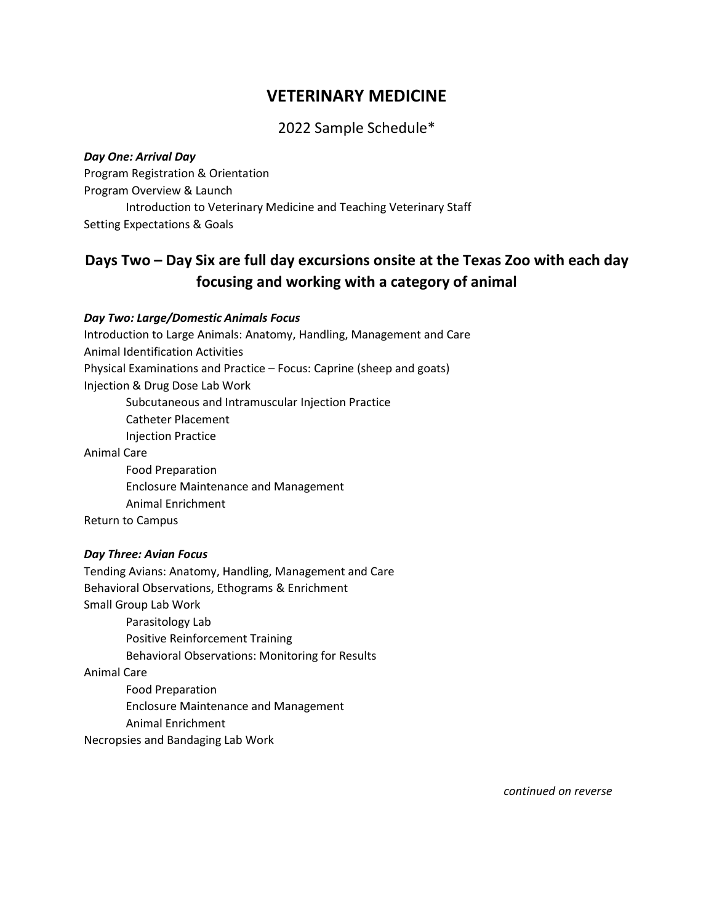# **VETERINARY MEDICINE**

# 2022 Sample Schedule\*

*Day One: Arrival Day* Program Registration & Orientation Program Overview & Launch Introduction to Veterinary Medicine and Teaching Veterinary Staff Setting Expectations & Goals

# **Days Two – Day Six are full day excursions onsite at the Texas Zoo with each day focusing and working with a category of animal**

### *Day Two: Large/Domestic Animals Focus*

Introduction to Large Animals: Anatomy, Handling, Management and Care Animal Identification Activities Physical Examinations and Practice – Focus: Caprine (sheep and goats) Injection & Drug Dose Lab Work Subcutaneous and Intramuscular Injection Practice Catheter Placement Injection Practice Animal Care Food Preparation

Enclosure Maintenance and Management

Animal Enrichment

Return to Campus

# *Day Three: Avian Focus*

Tending Avians: Anatomy, Handling, Management and Care Behavioral Observations, Ethograms & Enrichment Small Group Lab Work Parasitology Lab Positive Reinforcement Training Behavioral Observations: Monitoring for Results Animal Care Food Preparation Enclosure Maintenance and Management Animal Enrichment Necropsies and Bandaging Lab Work

*continued on reverse*